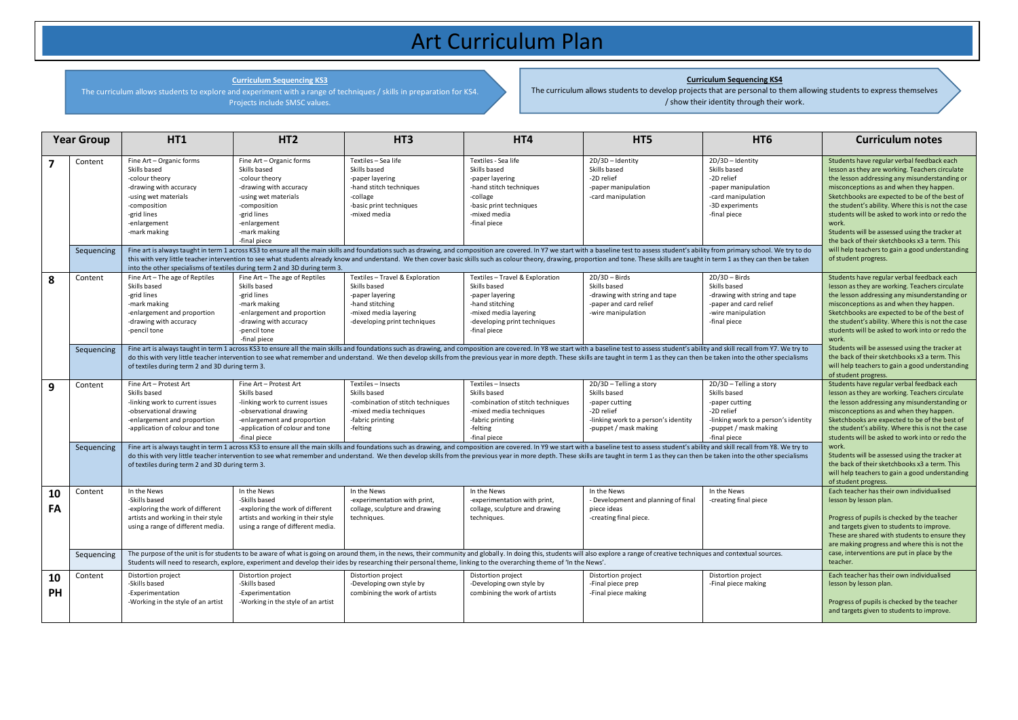## Art Curriculum Plan

**Curriculum Sequencing KS3**

The curriculum allows students to explore and experiment with a range of techniques / skills in preparation for KS4. Projects include SMSC values.

## **Curriculum Sequencing KS4**

The curriculum allows students to develop projects that are personal to them allowing students to express themselves / show their identity through their work.

| <b>Year Group</b> |                       | HT <sub>1</sub>                                                                                                                                                                                                                                                                                                                                                                                                                                                                                                                                                                                                                                                                                   | HT <sub>2</sub>                                                                                                                                                                                                                                                           | HT <sub>3</sub>                                                                                                                              | HT4                                                                                                                                                            | HT5                                                                                                                                                                                                                                                                                                                                                                                                                                                                                                                                                             | HT <sub>6</sub>                                                                                                                                          | <b>Curriculum notes</b>                                                                                                                                                                                                                                                                                                                                                                                                                                                                                                                  |
|-------------------|-----------------------|---------------------------------------------------------------------------------------------------------------------------------------------------------------------------------------------------------------------------------------------------------------------------------------------------------------------------------------------------------------------------------------------------------------------------------------------------------------------------------------------------------------------------------------------------------------------------------------------------------------------------------------------------------------------------------------------------|---------------------------------------------------------------------------------------------------------------------------------------------------------------------------------------------------------------------------------------------------------------------------|----------------------------------------------------------------------------------------------------------------------------------------------|----------------------------------------------------------------------------------------------------------------------------------------------------------------|-----------------------------------------------------------------------------------------------------------------------------------------------------------------------------------------------------------------------------------------------------------------------------------------------------------------------------------------------------------------------------------------------------------------------------------------------------------------------------------------------------------------------------------------------------------------|----------------------------------------------------------------------------------------------------------------------------------------------------------|------------------------------------------------------------------------------------------------------------------------------------------------------------------------------------------------------------------------------------------------------------------------------------------------------------------------------------------------------------------------------------------------------------------------------------------------------------------------------------------------------------------------------------------|
| $\overline{7}$    | Content<br>Sequencing | Fine Art - Organic forms<br>Skills based<br>-colour theory<br>-drawing with accuracy<br>-using wet materials<br>-composition<br>-grid lines<br>-enlargement<br>-mark making                                                                                                                                                                                                                                                                                                                                                                                                                                                                                                                       | Fine Art - Organic forms<br>Skills based<br>-colour theory<br>-drawing with accuracy<br>-using wet materials<br>-composition<br>-grid lines<br>-enlargement<br>-mark making<br>-final piece<br>into the other specialisms of textiles during term 2 and 3D during term 3. | Textiles - Sea life<br>Skills based<br>-paper layering<br>-hand stitch techniques<br>-collage<br>-basic print techniques<br>-mixed media     | Textiles - Sea life<br>Skills based<br>-paper layering<br>-hand stitch techniques<br>-collage<br>-basic print techniques<br>-mixed media<br>-final piece       | 2D/3D - Identity<br>Skills based<br>-2D relief<br>-paper manipulation<br>-card manipulation<br>Fine art is always taught in term 1 across KS3 to ensure all the main skills and foundations such as drawing, and composition are covered. In Y7 we start with a baseline test to assess student's ability from primary school<br>this with very little teacher intervention to see what students already know and understand. We then cover basic skills such as colour theory, drawing, proportion and tone. These skills are taught in term 1 as they can the | 2D/3D - Identity<br>Skills based<br>-2D relief<br>-paper manipulation<br>-card manipulation<br>-3D experiments<br>-final piece                           | Students have regular verbal feedback each<br>lesson as they are working. Teachers circulate<br>the lesson addressing any misunderstanding or<br>misconceptions as and when they happen.<br>Sketchbooks are expected to be of the best of<br>the student's ability. Where this is not the case<br>students will be asked to work into or redo the<br>work.<br>Students will be assessed using the tracker at<br>the back of their sketchbooks x3 a term. This<br>will help teachers to gain a good understanding<br>of student progress. |
| 8                 | Content               | Fine Art - The age of Reptiles<br>Skills based<br>-grid lines<br>-mark making<br>-enlargement and proportion<br>-drawing with accuracy<br>-pencil tone                                                                                                                                                                                                                                                                                                                                                                                                                                                                                                                                            | Fine Art - The age of Reptiles<br>Skills based<br>-grid lines<br>-mark making<br>-enlargement and proportion<br>-drawing with accuracy<br>-pencil tone<br>-final piece                                                                                                    | Textiles-Travel & Exploration<br>Skills based<br>-paper layering<br>-hand stitching<br>-mixed media layering<br>-developing print techniques | Textiles - Travel & Exploration<br>Skills based<br>-paper layering<br>-hand stitching<br>-mixed media layering<br>-developing print techniques<br>-final piece | $2D/3D - Birds$<br>Skills based<br>-drawing with string and tape<br>-paper and card relief<br>-wire manipulation                                                                                                                                                                                                                                                                                                                                                                                                                                                | $2D/3D - Birds$<br>Skills based<br>-drawing with string and tape<br>-paper and card relief<br>-wire manipulation<br>-final piece                         | Students have regular verbal feedback each<br>lesson as they are working. Teachers circulate<br>the lesson addressing any misunderstanding or<br>misconceptions as and when they happen.<br>Sketchbooks are expected to be of the best of<br>the student's ability. Where this is not the case<br>students will be asked to work into or redo the<br>work.                                                                                                                                                                               |
|                   | Sequencing            | Fine art is always taught in term 1 across KS3 to ensure all the main skills and foundations such as drawing, and composition are covered. In Y8 we start with a baseline test to assess student's ability and skill recall fr<br>Students will be assessed using the tracker at<br>the back of their sketchbooks x3 a term. This<br>do this with very little teacher intervention to see what remember and understand. We then develop skills from the previous year in more depth. These skills are taught in term 1 as they can then be taken into the other spe<br>will help teachers to gain a good understanding<br>of textiles during term 2 and 3D during term 3.<br>of student progress. |                                                                                                                                                                                                                                                                           |                                                                                                                                              |                                                                                                                                                                |                                                                                                                                                                                                                                                                                                                                                                                                                                                                                                                                                                 |                                                                                                                                                          |                                                                                                                                                                                                                                                                                                                                                                                                                                                                                                                                          |
| 9                 | Content               | Fine Art - Protest Art<br>Skills based<br>-linking work to current issues<br>-observational drawing<br>-enlargement and proportion<br>-application of colour and tone                                                                                                                                                                                                                                                                                                                                                                                                                                                                                                                             | Fine Art - Protest Art<br>Skills based<br>-linking work to current issues<br>-observational drawing<br>-enlargement and proportion<br>-application of colour and tone<br>-final piece                                                                                     | Textiles - Insects<br>Skills based<br>-combination of stitch techniques<br>-mixed media techniques<br>-fabric printing<br>-felting           | Textiles - Insects<br>Skills based<br>-combination of stitch techniques<br>-mixed media techniques<br>-fabric printing<br>-felting<br>-final piece             | 2D/3D - Telling a story<br>Skills based<br>-paper cutting<br>-2D relief<br>-linking work to a person's identity<br>-puppet / mask making                                                                                                                                                                                                                                                                                                                                                                                                                        | 2D/3D - Telling a story<br>Skills based<br>-paper cutting<br>-2D relief<br>-linking work to a person's identity<br>-puppet / mask making<br>-final piece | Students have regular verbal feedback each<br>lesson as they are working. Teachers circulate<br>the lesson addressing any misunderstanding or<br>misconceptions as and when they happen.<br>Sketchbooks are expected to be of the best of<br>the student's ability. Where this is not the case<br>students will be asked to work into or redo the                                                                                                                                                                                        |
|                   | Sequencing            | Fine art is always taught in term 1 across KS3 to ensure all the main skills and foundations such as drawing, and composition are covered. In Y9 we start with a baseline test to assess student's ability and skill recall fr<br>do this with very little teacher intervention to see what remember and understand. We then develop skills from the previous year in more depth. These skills are taught in term 1 as they can then be taken into the other spe<br>of textiles during term 2 and 3D during term 3.                                                                                                                                                                               | work.<br>Students will be assessed using the tracker at<br>the back of their sketchbooks x3 a term. This<br>will help teachers to gain a good understanding<br>of student progress.                                                                                       |                                                                                                                                              |                                                                                                                                                                |                                                                                                                                                                                                                                                                                                                                                                                                                                                                                                                                                                 |                                                                                                                                                          |                                                                                                                                                                                                                                                                                                                                                                                                                                                                                                                                          |
| 10<br>FA          | Content               | In the News<br>-Skills based<br>-exploring the work of different<br>artists and working in their style<br>using a range of different media.                                                                                                                                                                                                                                                                                                                                                                                                                                                                                                                                                       | In the News<br>-Skills based<br>-exploring the work of different<br>artists and working in their style<br>using a range of different media.                                                                                                                               | In the News<br>-experimentation with print,<br>collage, sculpture and drawing<br>techniques.                                                 | In the News<br>-experimentation with print,<br>collage, sculpture and drawing<br>techniques.                                                                   | In the News<br>- Development and planning of final<br>piece ideas<br>-creating final piece.                                                                                                                                                                                                                                                                                                                                                                                                                                                                     | In the News<br>-creating final piece                                                                                                                     | Each teacher has their own individualised<br>lesson by lesson plan.<br>Progress of pupils is checked by the teacher<br>and targets given to students to improve.<br>These are shared with students to ensure they<br>are making progress and where this is not the                                                                                                                                                                                                                                                                       |
|                   | Sequencing            | The purpose of the unit is for students to be aware of what is going on around them, in the news, their community and globally. In doing this, students will also explore a range of creative techniques and contextual source<br>Students will need to research, explore, experiment and develop their ides by researching their personal theme, linking to the overarching theme of 'In the News'.                                                                                                                                                                                                                                                                                              | case, interventions are put in place by the<br>teacher.                                                                                                                                                                                                                   |                                                                                                                                              |                                                                                                                                                                |                                                                                                                                                                                                                                                                                                                                                                                                                                                                                                                                                                 |                                                                                                                                                          |                                                                                                                                                                                                                                                                                                                                                                                                                                                                                                                                          |
| 10<br>PH          | Content               | Distortion project<br>-Skills based<br>-Experimentation<br>-Working in the style of an artist                                                                                                                                                                                                                                                                                                                                                                                                                                                                                                                                                                                                     | Distortion project<br>-Skills based<br>-Experimentation<br>-Working in the style of an artist                                                                                                                                                                             | Distortion project<br>-Developing own style by<br>combining the work of artists                                                              | Distortion project<br>-Developing own style by<br>combining the work of artists                                                                                | Distortion project<br>-Final piece prep<br>-Final piece making                                                                                                                                                                                                                                                                                                                                                                                                                                                                                                  | Distortion project<br>-Final piece making                                                                                                                | Each teacher has their own individualised<br>lesson by lesson plan.<br>Progress of pupils is checked by the teacher<br>and targets given to students to improve.                                                                                                                                                                                                                                                                                                                                                                         |